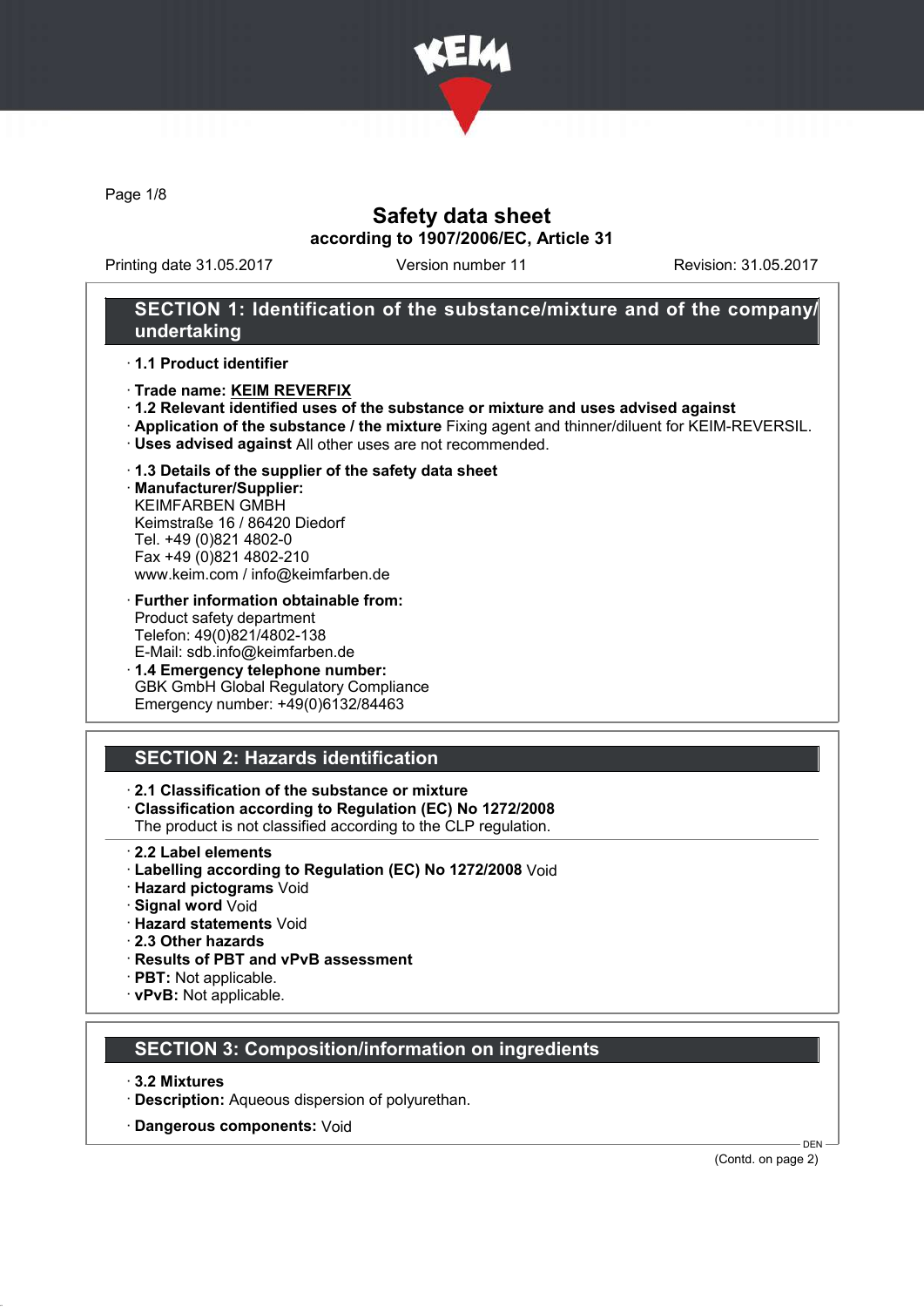

Page 1/8

## Safety data sheet according to 1907/2006/EC, Article 31

Printing date 31.05.2017 Version number 11 Revision: 31.05.2017

## SECTION 1: Identification of the substance/mixture and of the company/ undertaking

#### · 1.1 Product identifier

- · Trade name: KEIM REVERFIX
- · 1.2 Relevant identified uses of the substance or mixture and uses advised against
- · Application of the substance / the mixture Fixing agent and thinner/diluent for KEIM-REVERSIL.
- · Uses advised against All other uses are not recommended.

# · 1.3 Details of the supplier of the safety data sheet

· Manufacturer/Supplier: KEIMFARBEN GMBH Keimstraße 16 / 86420 Diedorf Tel. +49 (0)821 4802-0 Fax +49 (0)821 4802-210 www.keim.com / info@keimfarben.de

#### · Further information obtainable from: Product safety department Telefon: 49(0)821/4802-138 E-Mail: sdb.info@keimfarben.de

· 1.4 Emergency telephone number: GBK GmbH Global Regulatory Compliance Emergency number: +49(0)6132/84463

## SECTION 2: Hazards identification

## · 2.1 Classification of the substance or mixture

· Classification according to Regulation (EC) No 1272/2008

The product is not classified according to the CLP regulation.

- 2.2 Label elements
- · Labelling according to Regulation (EC) No 1272/2008 Void
- · Hazard pictograms Void
- · Signal word Void
- · Hazard statements Void
- · 2.3 Other hazards
- · Results of PBT and vPvB assessment
- · PBT: Not applicable.
- · vPvB: Not applicable.

## SECTION 3: Composition/information on ingredients

- · 3.2 Mixtures
- · Description: Aqueous dispersion of polyurethan.
- · Dangerous components: Void

(Contd. on page 2)

DEN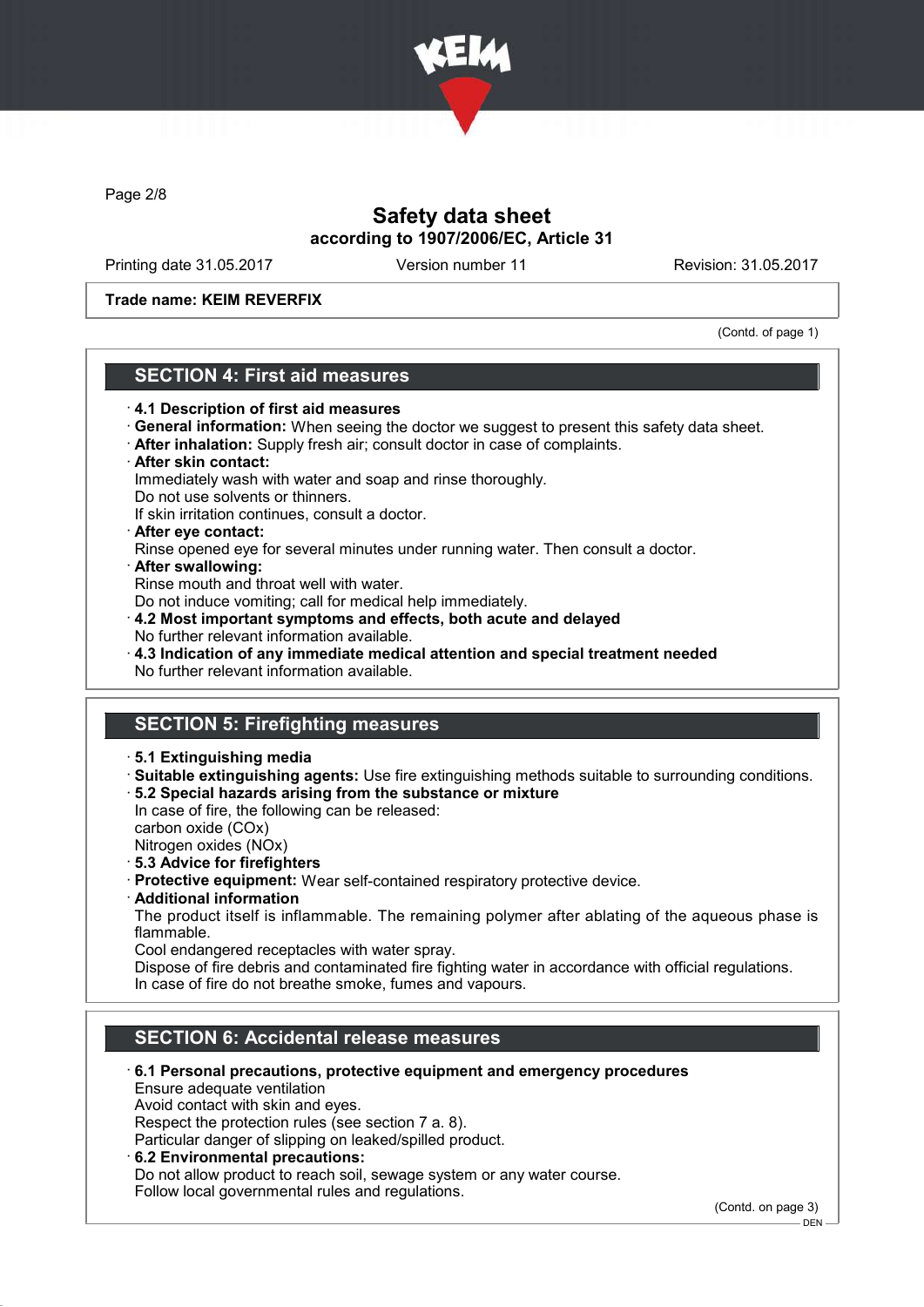

Page 2/8

## Safety data sheet according to 1907/2006/EC, Article 31

Printing date 31.05.2017 Version number 11 Revision: 31.05.2017

Trade name: KEIM REVERFIX

(Contd. of page 1)

## SECTION 4: First aid measures

- · 4.1 Description of first aid measures
- · General information: When seeing the doctor we suggest to present this safety data sheet.
- · After inhalation: Supply fresh air; consult doctor in case of complaints.
- · After skin contact: Immediately wash with water and soap and rinse thoroughly.
- Do not use solvents or thinners.

If skin irritation continues, consult a doctor.

- · After eye contact:
- Rinse opened eye for several minutes under running water. Then consult a doctor.
- · After swallowing:

Rinse mouth and throat well with water.

Do not induce vomiting; call for medical help immediately.

- · 4.2 Most important symptoms and effects, both acute and delayed No further relevant information available.
- · 4.3 Indication of any immediate medical attention and special treatment needed No further relevant information available.

# SECTION 5: Firefighting measures

- · 5.1 Extinguishing media
- · Suitable extinguishing agents: Use fire extinguishing methods suitable to surrounding conditions. · 5.2 Special hazards arising from the substance or mixture

In case of fire, the following can be released: carbon oxide (COx)

Nitrogen oxides (NOx)

- · 5.3 Advice for firefighters
- · Protective equipment: Wear self-contained respiratory protective device.
- · Additional information

The product itself is inflammable. The remaining polymer after ablating of the aqueous phase is flammable.

Cool endangered receptacles with water spray.

Dispose of fire debris and contaminated fire fighting water in accordance with official regulations. In case of fire do not breathe smoke, fumes and vapours.

# SECTION 6: Accidental release measures

· 6.1 Personal precautions, protective equipment and emergency procedures Ensure adequate ventilation

Avoid contact with skin and eyes.

Respect the protection rules (see section 7 a. 8).

Particular danger of slipping on leaked/spilled product.

· 6.2 Environmental precautions:

Do not allow product to reach soil, sewage system or any water course. Follow local governmental rules and regulations.

(Contd. on page 3)

<sup>-</sup> DEN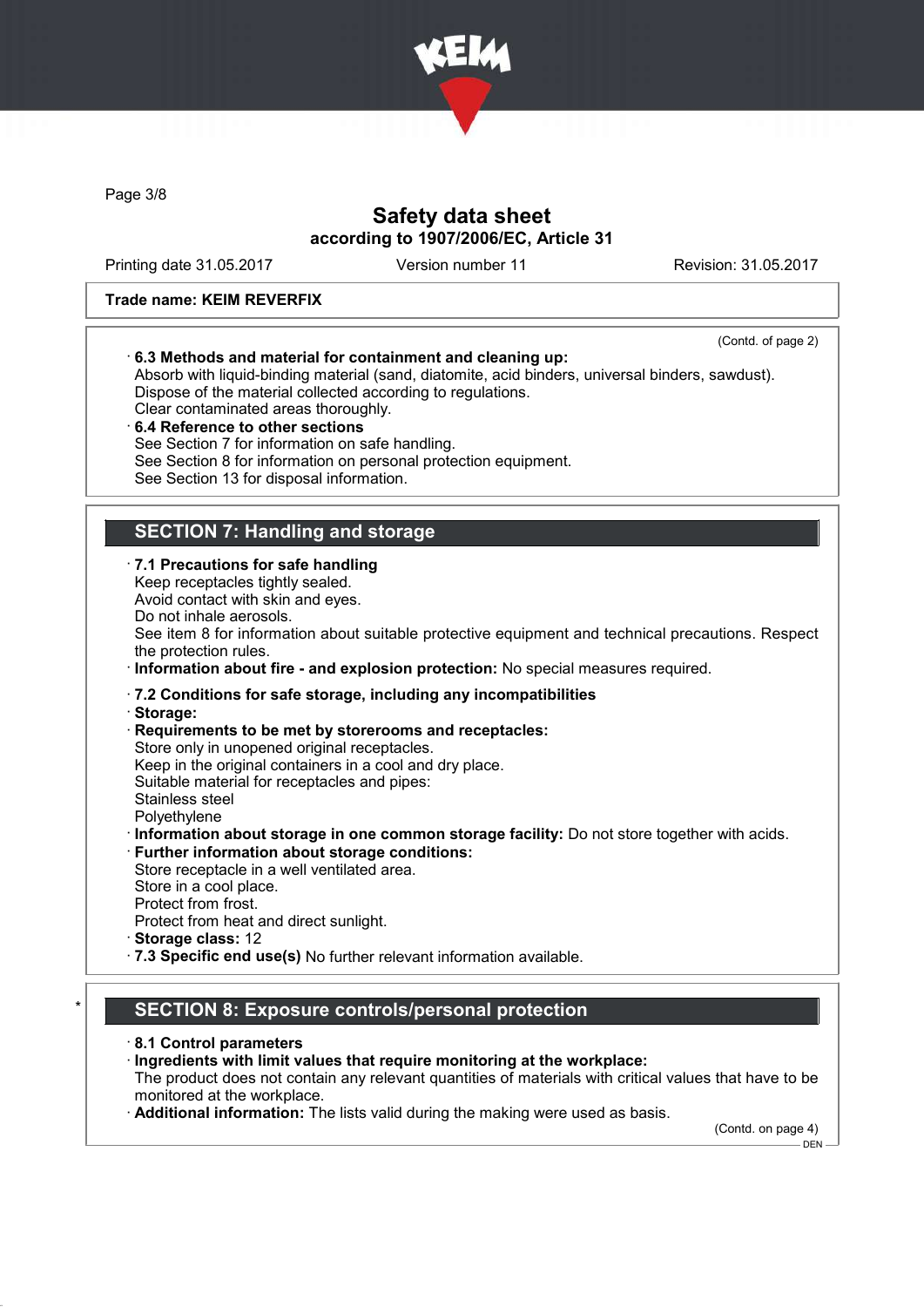

Page 3/8

# Safety data sheet according to 1907/2006/EC, Article 31

Printing date 31.05.2017 Version number 11 Revision: 31.05.2017

### Trade name: KEIM REVERFIX

| (Contd. of page 2)<br>6.3 Methods and material for containment and cleaning up:<br>Absorb with liquid-binding material (sand, diatomite, acid binders, universal binders, sawdust).<br>Dispose of the material collected according to regulations.<br>Clear contaminated areas thoroughly.<br>6.4 Reference to other sections<br>See Section 7 for information on safe handling.<br>See Section 8 for information on personal protection equipment.<br>See Section 13 for disposal information. |
|-------------------------------------------------------------------------------------------------------------------------------------------------------------------------------------------------------------------------------------------------------------------------------------------------------------------------------------------------------------------------------------------------------------------------------------------------------------------------------------------------|
| <b>SECTION 7: Handling and storage</b>                                                                                                                                                                                                                                                                                                                                                                                                                                                          |
| · 7.1 Precautions for safe handling<br>Keep receptacles tightly sealed.<br>Avoid contact with skin and eyes.<br>Do not inhale aerosols.<br>See item 8 for information about suitable protective equipment and technical precautions. Respect<br>the protection rules.<br>· Information about fire - and explosion protection: No special measures required.                                                                                                                                     |
| · 7.2 Conditions for safe storage, including any incompatibilities<br>Storage:<br>Requirements to be met by storerooms and receptacles:<br>Store only in unopened original receptacles.<br>Keep in the original containers in a cool and dry place.<br>Suitable material for receptacles and pipes:<br>Stainless steel<br>Polyethylene                                                                                                                                                          |
| Information about storage in one common storage facility: Do not store together with acids.<br>· Further information about storage conditions:<br>Store receptacle in a well ventilated area.<br>Store in a cool place.<br>Protect from frost.<br>Protect from heat and direct sunlight.<br>Storage class: 12<br>· 7.3 Specific end use(s) No further relevant information available.                                                                                                           |
| CECTION 0. Evangelisa anatualalaegoa anatuation                                                                                                                                                                                                                                                                                                                                                                                                                                                 |

# SECTION 8: Exposure controls/personal protection

- · 8.1 Control parameters
- · Ingredients with limit values that require monitoring at the workplace:
- The product does not contain any relevant quantities of materials with critical values that have to be monitored at the workplace.
- · Additional information: The lists valid during the making were used as basis.

(Contd. on page 4)

DEN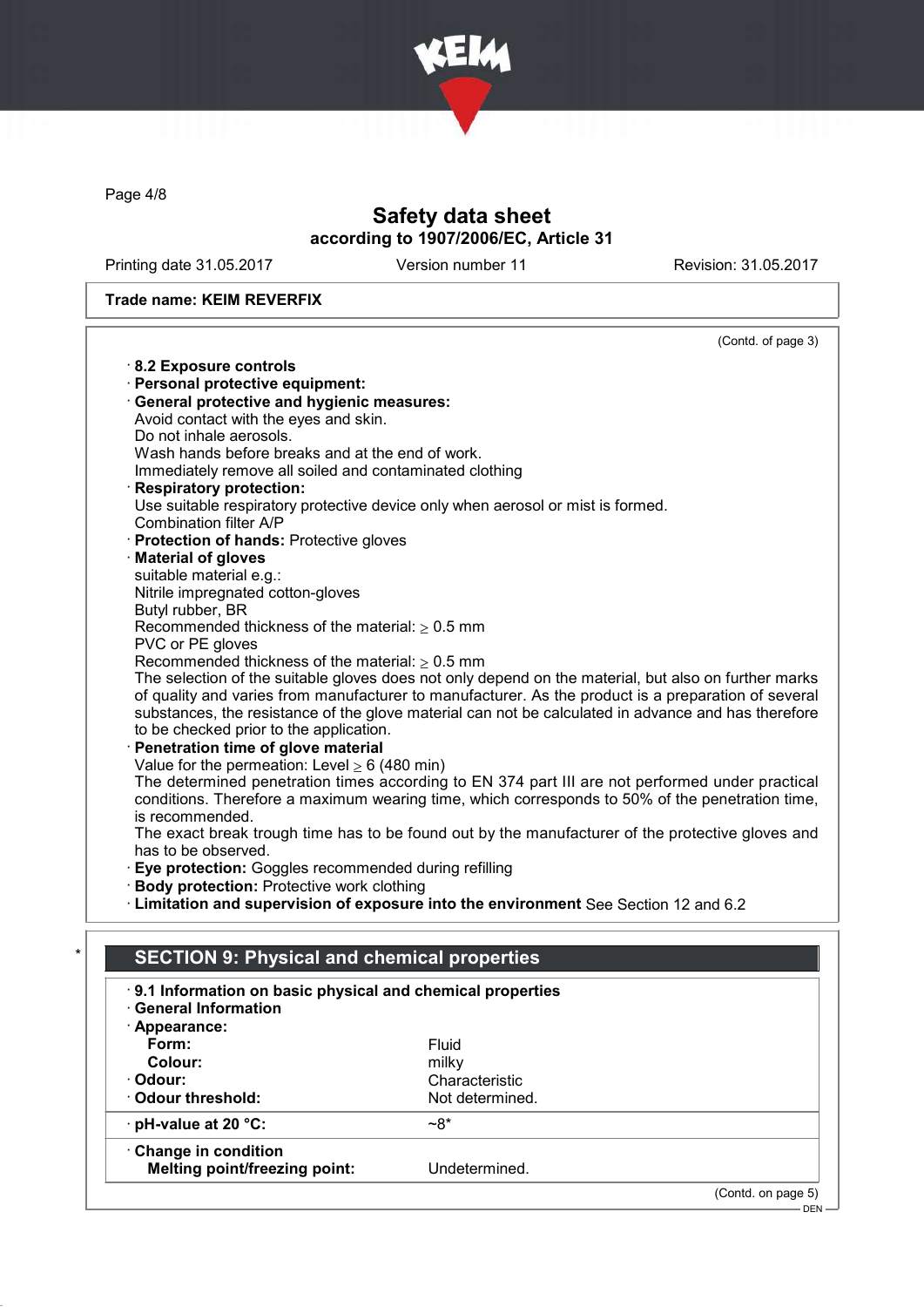

Page 4/8

# Safety data sheet according to 1907/2006/EC, Article 31

Printing date 31.05.2017 Version number 11 Revision: 31.05.2017

### Trade name: KEIM REVERFIX

|                                                              | (Contd. of page 3)                                                                                   |
|--------------------------------------------------------------|------------------------------------------------------------------------------------------------------|
| 8.2 Exposure controls                                        |                                                                                                      |
| · Personal protective equipment:                             |                                                                                                      |
| · General protective and hygienic measures:                  |                                                                                                      |
| Avoid contact with the eyes and skin.                        |                                                                                                      |
| Do not inhale aerosols.                                      |                                                                                                      |
| Wash hands before breaks and at the end of work.             |                                                                                                      |
| Immediately remove all soiled and contaminated clothing      |                                                                                                      |
| <b>Respiratory protection:</b>                               |                                                                                                      |
|                                                              | Use suitable respiratory protective device only when aerosol or mist is formed.                      |
| Combination filter A/P                                       |                                                                                                      |
| · Protection of hands: Protective gloves                     |                                                                                                      |
| · Material of gloves                                         |                                                                                                      |
| suitable material e.g.:<br>Nitrile impregnated cotton-gloves |                                                                                                      |
| Butyl rubber, BR                                             |                                                                                                      |
| Recommended thickness of the material: $\geq 0.5$ mm         |                                                                                                      |
| PVC or PE gloves                                             |                                                                                                      |
| Recommended thickness of the material: $\geq 0.5$ mm         |                                                                                                      |
|                                                              | The selection of the suitable gloves does not only depend on the material, but also on further marks |
|                                                              | of quality and varies from manufacturer to manufacturer. As the product is a preparation of several  |
|                                                              | substances, the resistance of the glove material can not be calculated in advance and has therefore  |
| to be checked prior to the application.                      |                                                                                                      |
| Penetration time of glove material                           |                                                                                                      |
| Value for the permeation: Level $\geq 6$ (480 min)           |                                                                                                      |
|                                                              | The determined penetration times according to EN 374 part III are not performed under practical      |
| is recommended.                                              | conditions. Therefore a maximum wearing time, which corresponds to 50% of the penetration time,      |
|                                                              | The exact break trough time has to be found out by the manufacturer of the protective gloves and     |
| has to be observed.                                          |                                                                                                      |
| <b>Eye protection:</b> Goggles recommended during refilling  |                                                                                                      |
| · Body protection: Protective work clothing                  |                                                                                                      |
|                                                              | · Limitation and supervision of exposure into the environment See Section 12 and 6.2                 |
|                                                              |                                                                                                      |
|                                                              |                                                                                                      |
| <b>SECTION 9: Physical and chemical properties</b>           |                                                                                                      |
| 9.1 Information on basic physical and chemical properties    |                                                                                                      |
| <b>General Information</b>                                   |                                                                                                      |
| $\cdot$ Appearance:                                          |                                                                                                      |
| Form:                                                        | Fluid                                                                                                |
| Colour:                                                      | milky                                                                                                |
| Odour:                                                       | Characteristic                                                                                       |
| <b>Odour threshold:</b>                                      | Not determined.                                                                                      |
| · pH-value at 20 °C:                                         | $~28$ *                                                                                              |
|                                                              |                                                                                                      |
| · Change in condition                                        | Undetermined.                                                                                        |
| <b>Melting point/freezing point:</b>                         |                                                                                                      |
|                                                              |                                                                                                      |
|                                                              | (Contd. on page 5)<br>$DEN -$                                                                        |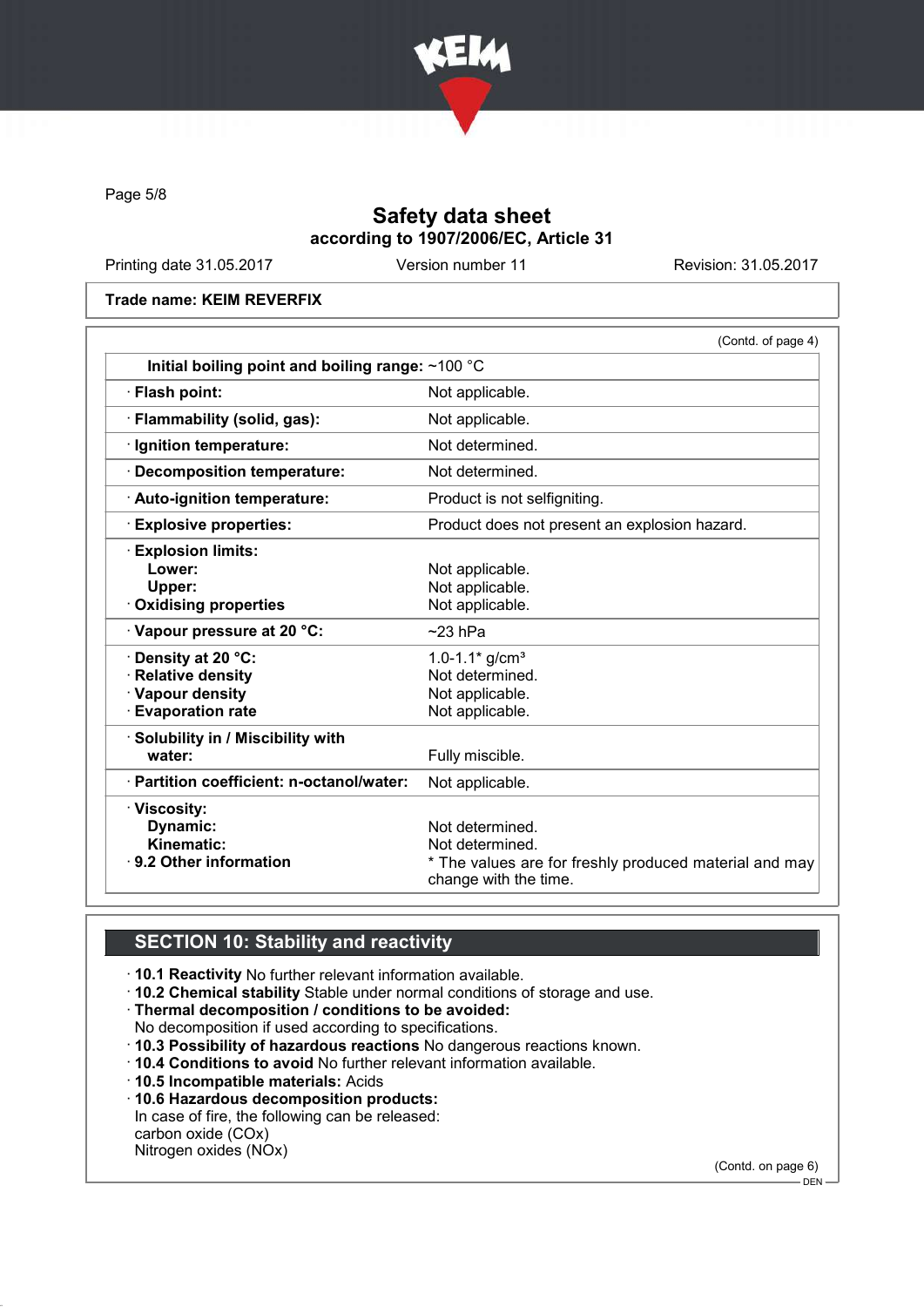

Page 5/8

# Safety data sheet according to 1907/2006/EC, Article 31

Printing date 31.05.2017 Version number 11 Revision: 31.05.2017

Trade name: KEIM REVERFIX

| Initial boiling point and boiling range: $~100$ °C                              |
|---------------------------------------------------------------------------------|
| Not applicable.                                                                 |
| Not applicable.                                                                 |
| Not determined.                                                                 |
| Not determined.                                                                 |
| Product is not selfigniting.                                                    |
| Product does not present an explosion hazard.                                   |
|                                                                                 |
| Not applicable.                                                                 |
| Not applicable.                                                                 |
| Not applicable.                                                                 |
| $~23$ hPa                                                                       |
| 1.0-1.1 $*$ g/cm <sup>3</sup>                                                   |
| Not determined.                                                                 |
| Not applicable.                                                                 |
| Not applicable.                                                                 |
|                                                                                 |
| Fully miscible.                                                                 |
| Not applicable.                                                                 |
|                                                                                 |
| Not determined.                                                                 |
| Not determined.                                                                 |
| * The values are for freshly produced material and may<br>change with the time. |
|                                                                                 |

# **SECTION 10: Stability and reactivity**

· 10.1 Reactivity No further relevant information available.

· 10.2 Chemical stability Stable under normal conditions of storage and use.

· Thermal decomposition / conditions to be avoided:

No decomposition if used according to specifications.

· 10.3 Possibility of hazardous reactions No dangerous reactions known.

· 10.4 Conditions to avoid No further relevant information available.

· 10.5 Incompatible materials: Acids

· 10.6 Hazardous decomposition products:

In case of fire, the following can be released: carbon oxide (COx)

Nitrogen oxides (NOx)

(Contd. on page 6)

 $-$  DEN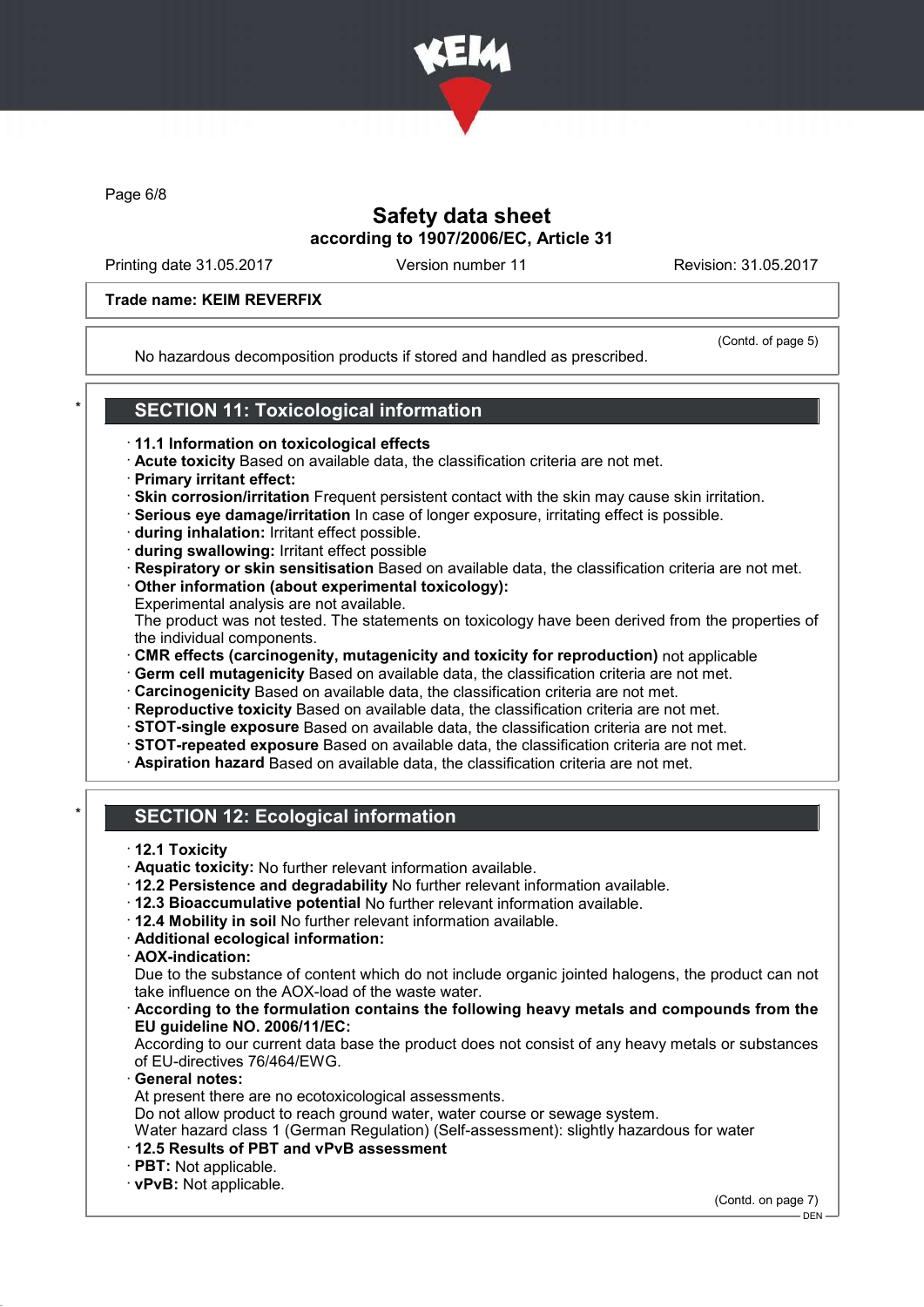

Page 6/8

## Safety data sheet according to 1907/2006/EC, Article 31

Printing date 31.05.2017 Version number 11 Revision: 31.05.2017

### Trade name: KEIM REVERFIX

No hazardous decomposition products if stored and handled as prescribed.

(Contd. of page 5)

# **SECTION 11: Toxicological information**

- · 11.1 Information on toxicological effects
- · Acute toxicity Based on available data, the classification criteria are not met.
- · Primary irritant effect:
- · Skin corrosion/irritation Frequent persistent contact with the skin may cause skin irritation.
- · Serious eye damage/irritation In case of longer exposure, irritating effect is possible.
- · during inhalation: Irritant effect possible.
- · during swallowing: Irritant effect possible
- · Respiratory or skin sensitisation Based on available data, the classification criteria are not met.
- · Other information (about experimental toxicology):
- Experimental analysis are not available.

The product was not tested. The statements on toxicology have been derived from the properties of the individual components.

- · CMR effects (carcinogenity, mutagenicity and toxicity for reproduction) not applicable
- · Germ cell mutagenicity Based on available data, the classification criteria are not met.
- · Carcinogenicity Based on available data, the classification criteria are not met.
- · Reproductive toxicity Based on available data, the classification criteria are not met.
- · STOT-single exposure Based on available data, the classification criteria are not met.
- · STOT-repeated exposure Based on available data, the classification criteria are not met.
- · Aspiration hazard Based on available data, the classification criteria are not met.

## **SECTION 12: Ecological information**

- · 12.1 Toxicity
- · Aquatic toxicity: No further relevant information available.
- · 12.2 Persistence and degradability No further relevant information available.
- · 12.3 Bioaccumulative potential No further relevant information available.
- · 12.4 Mobility in soil No further relevant information available.
- · Additional ecological information:
- · AOX-indication:

Due to the substance of content which do not include organic jointed halogens, the product can not take influence on the AOX-load of the waste water.

According to the formulation contains the following heavy metals and compounds from the EU guideline NO. 2006/11/EC:

According to our current data base the product does not consist of any heavy metals or substances of EU-directives 76/464/EWG.

General notes:

At present there are no ecotoxicological assessments.

Do not allow product to reach ground water, water course or sewage system.

Water hazard class 1 (German Regulation) (Self-assessment): slightly hazardous for water

- · 12.5 Results of PBT and vPvB assessment
- · PBT: Not applicable.

· vPvB: Not applicable.

(Contd. on page 7)

DEN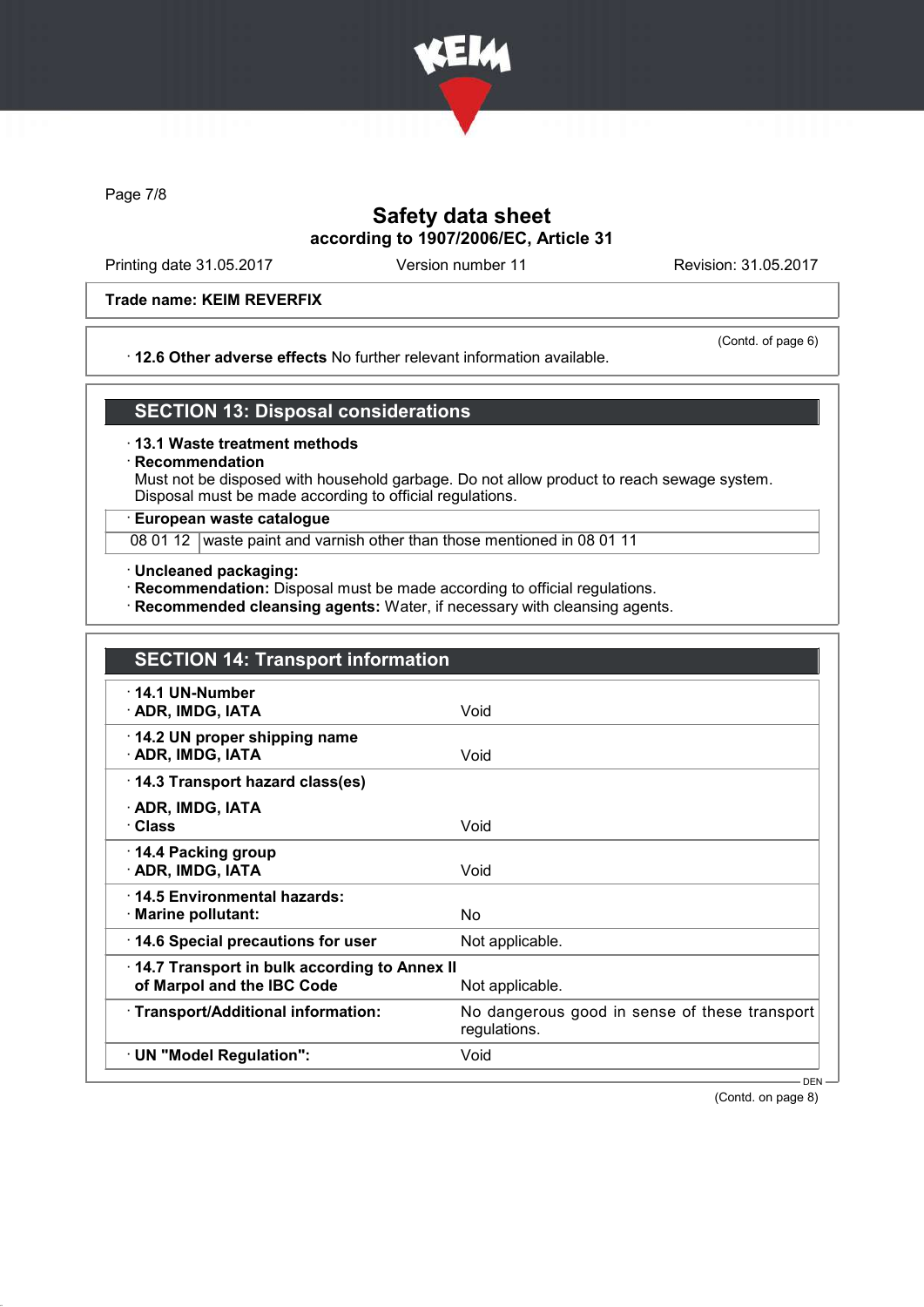

Page 7/8

## Safety data sheet according to 1907/2006/EC, Article 31

Printing date 31.05.2017 Version number 11 Revision: 31.05.2017

### Trade name: KEIM REVERFIX

### · 12.6 Other adverse effects No further relevant information available.

(Contd. of page 6)

## SECTION 13: Disposal considerations

### · 13.1 Waste treatment methods

### **Recommendation**

Must not be disposed with household garbage. Do not allow product to reach sewage system. Disposal must be made according to official regulations.

## · European waste catalogue

08 01 12 waste paint and varnish other than those mentioned in 08 01 11

· Uncleaned packaging:

· Recommendation: Disposal must be made according to official regulations.

· Recommended cleansing agents: Water, if necessary with cleansing agents.

| <b>SECTION 14: Transport information</b>                                   |                                                               |
|----------------------------------------------------------------------------|---------------------------------------------------------------|
| 14.1 UN-Number<br>· ADR, IMDG, IATA                                        | Void                                                          |
| 14.2 UN proper shipping name<br>· ADR, IMDG, IATA                          | Void                                                          |
| 14.3 Transport hazard class(es)                                            |                                                               |
| · ADR, IMDG, IATA<br>· Class                                               | Void                                                          |
| ⋅ 14.4 Packing group<br>· ADR, IMDG, IATA                                  | Void                                                          |
| 14.5 Environmental hazards:<br>· Marine pollutant:                         | N٥                                                            |
| 14.6 Special precautions for user                                          | Not applicable.                                               |
| 14.7 Transport in bulk according to Annex II<br>of Marpol and the IBC Code | Not applicable.                                               |
| · Transport/Additional information:                                        | No dangerous good in sense of these transport<br>regulations. |
| · UN "Model Regulation":                                                   | Void                                                          |
|                                                                            | $DEN -$                                                       |

(Contd. on page 8)